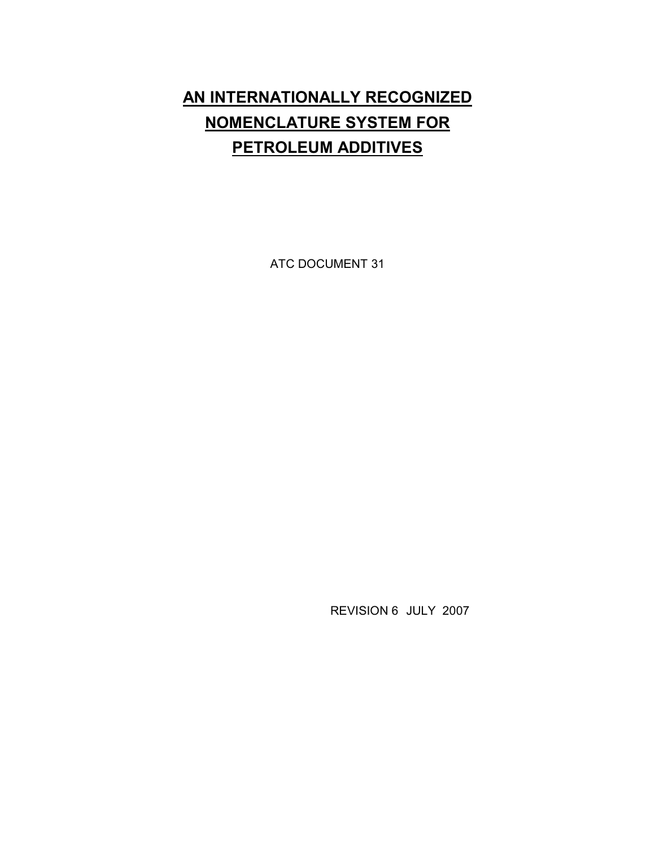# **AN INTERNATIONALLY RECOGNIZED NOMENCLATURE SYSTEM FOR PETROLEUM ADDITIVES**

ATC DOCUMENT 31

REVISION 6 JULY 2007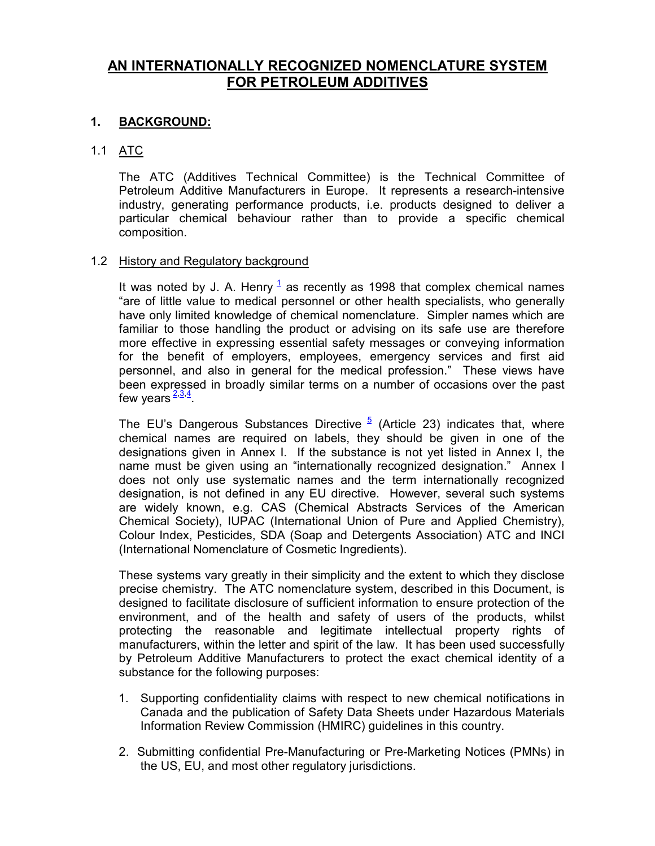# **AN INTERNATIONALLY RECOGNIZED NOMENCLATURE SYSTEM FOR PETROLEUM ADDITIVES**

## **1. BACKGROUND:**

## 1.1 ATC

The ATC (Additives Technical Committee) is the Technical Committee of Petroleum Additive Manufacturers in Europe. It represents a research-intensive industry, generating performance products, i.e. products designed to deliver a particular chemical behaviour rather than to provide a specific chemical composition.

## 1.2 History and Regulatory background

It was noted by J. A. Henry  $1/2$  as recently as 1998 that complex chemical names "are of little value to medical personnel or other health specialists, who generally have only limited knowledge of chemical nomenclature. Simpler names which are familiar to those handling the product or advising on its safe use are therefore more effective in expressing essential safety messages or conveying information for the benefit of employers, employees, emergency services and first aid personnel, and also in general for the medical profession." These views have been expressed in broadly similar terms on a number of occasions over the past few years  $\frac{2,3,4}{2}$ 

The EU's Dangerous Substances Directive  $5/$  (Article 23) indicates that, where chemical names are required on labels, they should be given in one of the designations given in Annex I. If the substance is not yet listed in Annex I, the name must be given using an "internationally recognized designation." Annex I does not only use systematic names and the term internationally recognized designation, is not defined in any EU directive. However, several such systems are widely known, e.g. CAS (Chemical Abstracts Services of the American Chemical Society), IUPAC (International Union of Pure and Applied Chemistry), Colour Index, Pesticides, SDA (Soap and Detergents Association) ATC and INCI (International Nomenclature of Cosmetic Ingredients).

These systems vary greatly in their simplicity and the extent to which they disclose precise chemistry. The ATC nomenclature system, described in this Document, is designed to facilitate disclosure of sufficient information to ensure protection of the environment, and of the health and safety of users of the products, whilst protecting the reasonable and legitimate intellectual property rights of manufacturers, within the letter and spirit of the law. It has been used successfully by Petroleum Additive Manufacturers to protect the exact chemical identity of a substance for the following purposes:

- 1. Supporting confidentiality claims with respect to new chemical notifications in Canada and the publication of Safety Data Sheets under Hazardous Materials Information Review Commission (HMIRC) guidelines in this country.
- 2. Submitting confidential Pre-Manufacturing or Pre-Marketing Notices (PMNs) in the US, EU, and most other regulatory jurisdictions.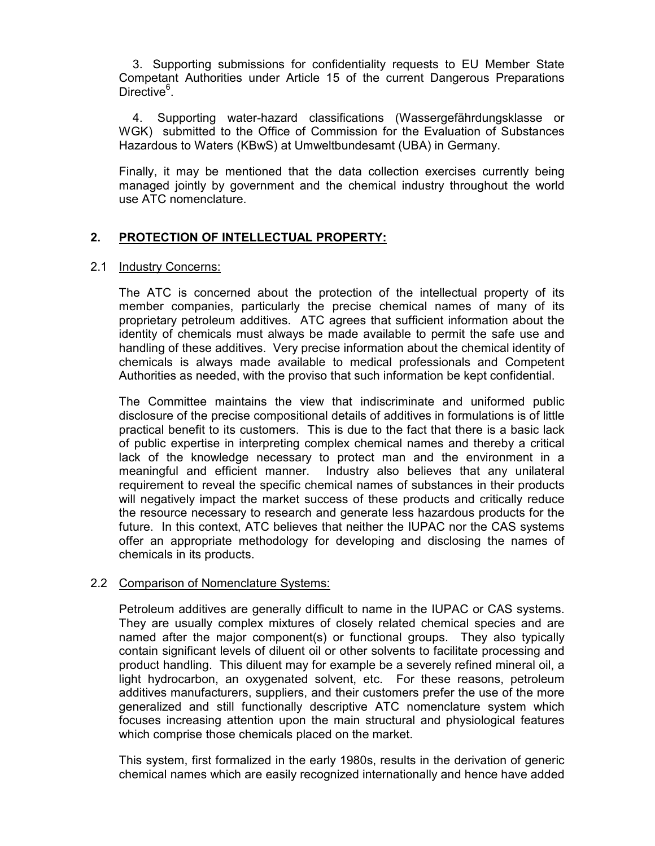3. Supporting submissions for confidentiality requests to EU Member State Competant Authorities under Article 15 of the current Dangerous Preparations Directive<sup>6</sup>.

 4. Supporting water-hazard classifications (Wassergefährdungsklasse or WGK) submitted to the Office of Commission for the Evaluation of Substances Hazardous to Waters (KBwS) at Umweltbundesamt (UBA) in Germany.

Finally, it may be mentioned that the data collection exercises currently being managed jointly by government and the chemical industry throughout the world use ATC nomenclature.

# **2. PROTECTION OF INTELLECTUAL PROPERTY:**

#### 2.1 Industry Concerns:

The ATC is concerned about the protection of the intellectual property of its member companies, particularly the precise chemical names of many of its proprietary petroleum additives. ATC agrees that sufficient information about the identity of chemicals must always be made available to permit the safe use and handling of these additives. Very precise information about the chemical identity of chemicals is always made available to medical professionals and Competent Authorities as needed, with the proviso that such information be kept confidential.

The Committee maintains the view that indiscriminate and uniformed public disclosure of the precise compositional details of additives in formulations is of little practical benefit to its customers. This is due to the fact that there is a basic lack of public expertise in interpreting complex chemical names and thereby a critical lack of the knowledge necessary to protect man and the environment in a meaningful and efficient manner. Industry also believes that any unilateral requirement to reveal the specific chemical names of substances in their products will negatively impact the market success of these products and critically reduce the resource necessary to research and generate less hazardous products for the future. In this context, ATC believes that neither the IUPAC nor the CAS systems offer an appropriate methodology for developing and disclosing the names of chemicals in its products.

## 2.2 Comparison of Nomenclature Systems:

Petroleum additives are generally difficult to name in the IUPAC or CAS systems. They are usually complex mixtures of closely related chemical species and are named after the major component(s) or functional groups. They also typically contain significant levels of diluent oil or other solvents to facilitate processing and product handling. This diluent may for example be a severely refined mineral oil, a light hydrocarbon, an oxygenated solvent, etc. For these reasons, petroleum additives manufacturers, suppliers, and their customers prefer the use of the more generalized and still functionally descriptive ATC nomenclature system which focuses increasing attention upon the main structural and physiological features which comprise those chemicals placed on the market.

This system, first formalized in the early 1980s, results in the derivation of generic chemical names which are easily recognized internationally and hence have added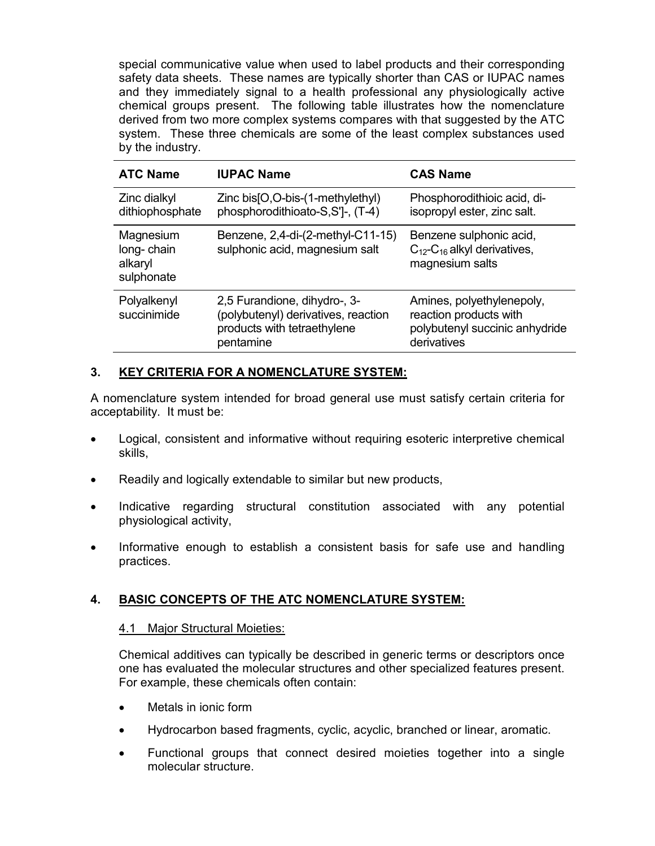special communicative value when used to label products and their corresponding safety data sheets. These names are typically shorter than CAS or IUPAC names and they immediately signal to a health professional any physiologically active chemical groups present. The following table illustrates how the nomenclature derived from two more complex systems compares with that suggested by the ATC system. These three chemicals are some of the least complex substances used by the industry.

| <b>ATC Name</b>                                  | <b>IUPAC Name</b>                                                                                               | <b>CAS Name</b>                                                                                      |
|--------------------------------------------------|-----------------------------------------------------------------------------------------------------------------|------------------------------------------------------------------------------------------------------|
| Zinc dialkyl<br>dithiophosphate                  | Zinc $bis[O,O-bis-(1-methylethyl)$<br>phosphorodithioato-S,S'l-, (T-4)                                          | Phosphorodithioic acid, di-<br>isopropyl ester, zinc salt.                                           |
| Magnesium<br>long-chain<br>alkaryl<br>sulphonate | Benzene, $2,4$ -di- $(2$ -methyl-C11-15)<br>sulphonic acid, magnesium salt                                      | Benzene sulphonic acid,<br>$C_{12}$ -C <sub>16</sub> alkyl derivatives,<br>magnesium salts           |
| Polyalkenyl<br>succinimide                       | 2,5 Furandione, dihydro-, 3-<br>(polybutenyl) derivatives, reaction<br>products with tetraethylene<br>pentamine | Amines, polyethylenepoly,<br>reaction products with<br>polybutenyl succinic anhydride<br>derivatives |

# **3. KEY CRITERIA FOR A NOMENCLATURE SYSTEM:**

A nomenclature system intended for broad general use must satisfy certain criteria for acceptability. It must be:

- Logical, consistent and informative without requiring esoteric interpretive chemical skills,
- Readily and logically extendable to similar but new products,
- Indicative regarding structural constitution associated with any potential physiological activity,
- Informative enough to establish a consistent basis for safe use and handling practices.

## **4. BASIC CONCEPTS OF THE ATC NOMENCLATURE SYSTEM:**

## 4.1 Major Structural Moieties:

Chemical additives can typically be described in generic terms or descriptors once one has evaluated the molecular structures and other specialized features present. For example, these chemicals often contain:

- Metals in ionic form
- Hydrocarbon based fragments, cyclic, acyclic, branched or linear, aromatic.
- Functional groups that connect desired moieties together into a single molecular structure.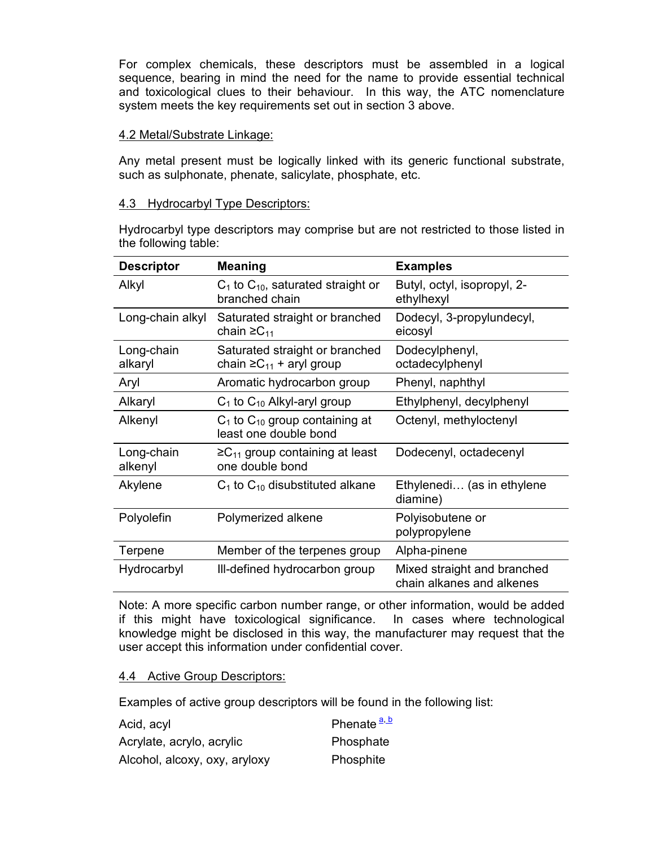For complex chemicals, these descriptors must be assembled in a logical sequence, bearing in mind the need for the name to provide essential technical and toxicological clues to their behaviour. In this way, the ATC nomenclature system meets the key requirements set out in section 3 above.

#### 4.2 Metal/Substrate Linkage:

Any metal present must be logically linked with its generic functional substrate, such as sulphonate, phenate, salicylate, phosphate, etc.

#### 4.3 Hydrocarbyl Type Descriptors:

Hydrocarbyl type descriptors may comprise but are not restricted to those listed in the following table:

| <b>Descriptor</b>     | <b>Meaning</b>                                                      | <b>Examples</b>                                          |
|-----------------------|---------------------------------------------------------------------|----------------------------------------------------------|
| Alkyl                 | $C_1$ to $C_{10}$ , saturated straight or<br>branched chain         | Butyl, octyl, isopropyl, 2-<br>ethylhexyl                |
| Long-chain alkyl      | Saturated straight or branched<br>chain $\geq C_{11}$               | Dodecyl, 3-propylundecyl,<br>eicosyl                     |
| Long-chain<br>alkaryl | Saturated straight or branched<br>chain $\geq C_{11}$ + aryl group  | Dodecylphenyl,<br>octadecylphenyl                        |
| Aryl                  | Aromatic hydrocarbon group                                          | Phenyl, naphthyl                                         |
| Alkaryl               | $C_1$ to $C_{10}$ Alkyl-aryl group                                  | Ethylphenyl, decylphenyl                                 |
| Alkenyl               | $C_1$ to $C_{10}$ group containing at<br>least one double bond      | Octenyl, methyloctenyl                                   |
| Long-chain<br>alkenyl | $\geq$ C <sub>11</sub> group containing at least<br>one double bond | Dodecenyl, octadecenyl                                   |
| Akylene               | $C_1$ to $C_{10}$ disubstituted alkane                              | Ethylenedi (as in ethylene<br>diamine)                   |
| Polyolefin            | Polymerized alkene                                                  | Polyisobutene or<br>polypropylene                        |
| Terpene               | Member of the terpenes group                                        | Alpha-pinene                                             |
| Hydrocarbyl           | Ill-defined hydrocarbon group                                       | Mixed straight and branched<br>chain alkanes and alkenes |

Note: A more specific carbon number range, or other information, would be added if this might have toxicological significance. In cases where technological knowledge might be disclosed in this way, the manufacturer may request that the user accept this information under confidential cover.

## 4.4 Active Group Descriptors:

Examples of active group descriptors will be found in the following list:

| Acid, acyl                    | Phenate <sup>a, b</sup> |
|-------------------------------|-------------------------|
| Acrylate, acrylo, acrylic     | Phosphate               |
| Alcohol, alcoxy, oxy, aryloxy | Phosphite               |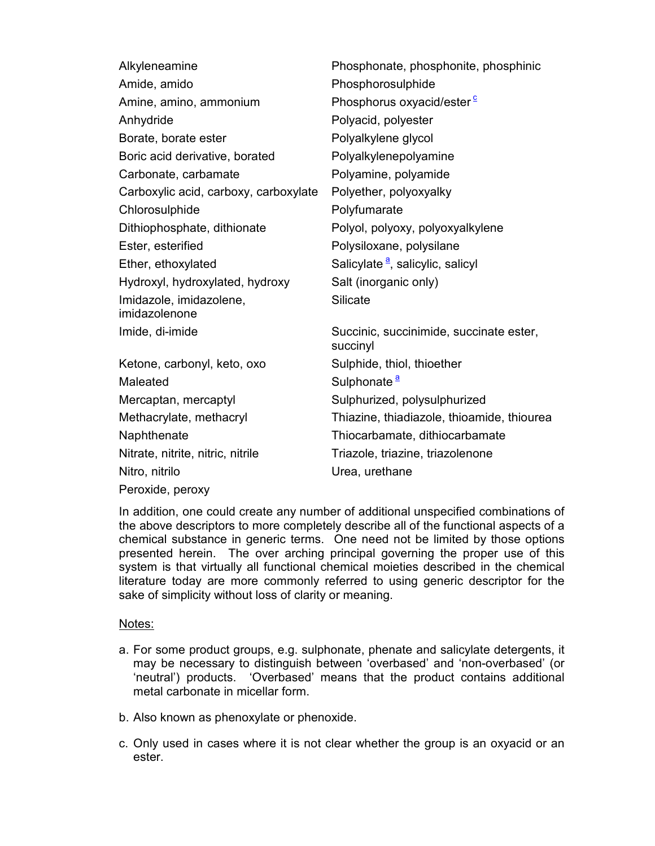| Alkyleneamine                         | Phosphonate, phosphonite, phosphinic                |
|---------------------------------------|-----------------------------------------------------|
| Amide, amido                          | Phosphorosulphide                                   |
| Amine, amino, ammonium                | Phosphorus oxyacid/ester <sup>c</sup>               |
| Anhydride                             | Polyacid, polyester                                 |
| Borate, borate ester                  | Polyalkylene glycol                                 |
| Boric acid derivative, borated        | Polyalkylenepolyamine                               |
| Carbonate, carbamate                  | Polyamine, polyamide                                |
| Carboxylic acid, carboxy, carboxylate | Polyether, polyoxyalky                              |
| Chlorosulphide                        | Polyfumarate                                        |
| Dithiophosphate, dithionate           | Polyol, polyoxy, polyoxyalkylene                    |
| Ester, esterified                     | Polysiloxane, polysilane                            |
| Ether, ethoxylated                    | Salicylate <sup>a</sup> , salicylic, salicyl        |
| Hydroxyl, hydroxylated, hydroxy       | Salt (inorganic only)                               |
| Imidazole, imidazolene,               | <b>Silicate</b>                                     |
| imidazolenone                         |                                                     |
| Imide, di-imide                       | Succinic, succinimide, succinate ester,<br>succinyl |
| Ketone, carbonyl, keto, oxo           | Sulphide, thiol, thioether                          |
| Maleated                              | Sulphonate <sup>a</sup>                             |
| Mercaptan, mercaptyl                  | Sulphurized, polysulphurized                        |
| Methacrylate, methacryl               | Thiazine, thiadiazole, thioamide, thiourea          |
| Naphthenate                           | Thiocarbamate, dithiocarbamate                      |
| Nitrate, nitrite, nitric, nitrile     | Triazole, triazine, triazolenone                    |
| Nitro, nitrilo                        | Urea, urethane                                      |
| Peroxide, peroxy                      |                                                     |

In addition, one could create any number of additional unspecified combinations of the above descriptors to more completely describe all of the functional aspects of a chemical substance in generic terms. One need not be limited by those options presented herein. The over arching principal governing the proper use of this system is that virtually all functional chemical moieties described in the chemical literature today are more commonly referred to using generic descriptor for the sake of simplicity without loss of clarity or meaning.

## Notes:

- a. For some product groups, e.g. sulphonate, phenate and salicylate detergents, it may be necessary to distinguish between 'overbased' and 'non-overbased' (or 'neutral') products. 'Overbased' means that the product contains additional metal carbonate in micellar form.
- b. Also known as phenoxylate or phenoxide.
- c. Only used in cases where it is not clear whether the group is an oxyacid or an ester.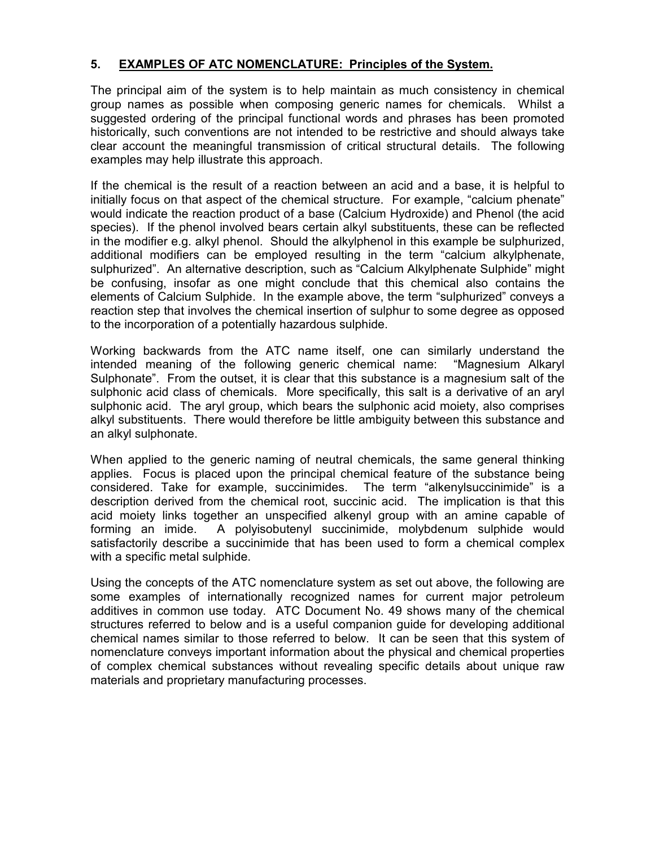# **5. EXAMPLES OF ATC NOMENCLATURE: Principles of the System.**

The principal aim of the system is to help maintain as much consistency in chemical group names as possible when composing generic names for chemicals. Whilst a suggested ordering of the principal functional words and phrases has been promoted historically, such conventions are not intended to be restrictive and should always take clear account the meaningful transmission of critical structural details. The following examples may help illustrate this approach.

If the chemical is the result of a reaction between an acid and a base, it is helpful to initially focus on that aspect of the chemical structure. For example, "calcium phenate" would indicate the reaction product of a base (Calcium Hydroxide) and Phenol (the acid species). If the phenol involved bears certain alkyl substituents, these can be reflected in the modifier e.g. alkyl phenol. Should the alkylphenol in this example be sulphurized, additional modifiers can be employed resulting in the term "calcium alkylphenate, sulphurized". An alternative description, such as "Calcium Alkylphenate Sulphide" might be confusing, insofar as one might conclude that this chemical also contains the elements of Calcium Sulphide. In the example above, the term "sulphurized" conveys a reaction step that involves the chemical insertion of sulphur to some degree as opposed to the incorporation of a potentially hazardous sulphide.

Working backwards from the ATC name itself, one can similarly understand the intended meaning of the following generic chemical name: "Magnesium Alkaryl Sulphonate". From the outset, it is clear that this substance is a magnesium salt of the sulphonic acid class of chemicals. More specifically, this salt is a derivative of an aryl sulphonic acid. The aryl group, which bears the sulphonic acid moiety, also comprises alkyl substituents. There would therefore be little ambiguity between this substance and an alkyl sulphonate.

When applied to the generic naming of neutral chemicals, the same general thinking applies. Focus is placed upon the principal chemical feature of the substance being considered. Take for example, succinimides. The term "alkenylsuccinimide" is a description derived from the chemical root, succinic acid. The implication is that this acid moiety links together an unspecified alkenyl group with an amine capable of forming an imide. A polyisobutenyl succinimide, molybdenum sulphide would satisfactorily describe a succinimide that has been used to form a chemical complex with a specific metal sulphide.

Using the concepts of the ATC nomenclature system as set out above, the following are some examples of internationally recognized names for current major petroleum additives in common use today. ATC Document No. 49 shows many of the chemical structures referred to below and is a useful companion guide for developing additional chemical names similar to those referred to below. It can be seen that this system of nomenclature conveys important information about the physical and chemical properties of complex chemical substances without revealing specific details about unique raw materials and proprietary manufacturing processes.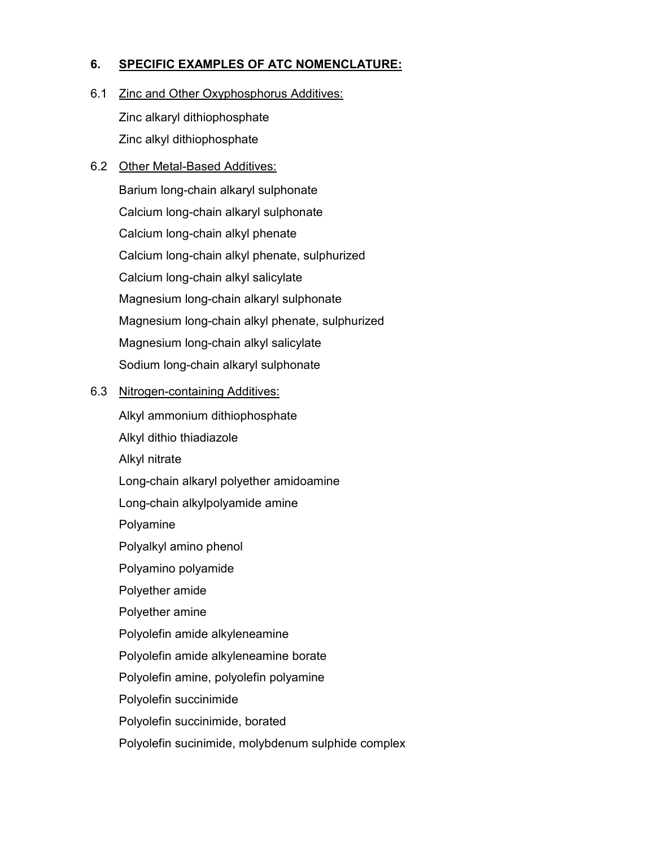# **6. SPECIFIC EXAMPLES OF ATC NOMENCLATURE:**

6.1 Zinc and Other Oxyphosphorus Additives:

Zinc alkaryl dithiophosphate Zinc alkyl dithiophosphate

# 6.2 Other Metal-Based Additives:

Barium long-chain alkaryl sulphonate Calcium long-chain alkaryl sulphonate Calcium long-chain alkyl phenate Calcium long-chain alkyl phenate, sulphurized Calcium long-chain alkyl salicylate Magnesium long-chain alkaryl sulphonate Magnesium long-chain alkyl phenate, sulphurized Magnesium long-chain alkyl salicylate Sodium long-chain alkaryl sulphonate

# 6.3 Nitrogen-containing Additives:

Alkyl ammonium dithiophosphate Alkyl dithio thiadiazole Alkyl nitrate Long-chain alkaryl polyether amidoamine Long-chain alkylpolyamide amine Polyamine Polyalkyl amino phenol Polyamino polyamide Polyether amide Polyether amine Polyolefin amide alkyleneamine Polyolefin amide alkyleneamine borate Polyolefin amine, polyolefin polyamine Polyolefin succinimide Polyolefin succinimide, borated Polyolefin sucinimide, molybdenum sulphide complex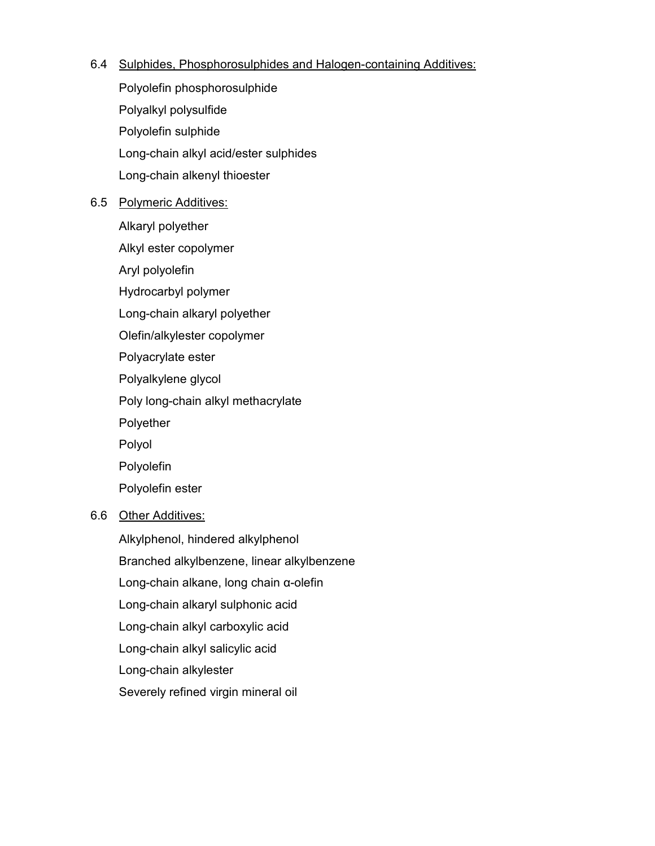## 6.4 Sulphides, Phosphorosulphides and Halogen-containing Additives:

Polyolefin phosphorosulphide Polyalkyl polysulfide Polyolefin sulphide Long-chain alkyl acid/ester sulphides Long-chain alkenyl thioester

# 6.5 Polymeric Additives:

Alkaryl polyether

- Alkyl ester copolymer
- Aryl polyolefin
- Hydrocarbyl polymer
- Long-chain alkaryl polyether
- Olefin/alkylester copolymer
- Polyacrylate ester
- Polyalkylene glycol
- Poly long-chain alkyl methacrylate
- Polyether
- Polyol
- Polyolefin
- Polyolefin ester

# 6.6 Other Additives:

Alkylphenol, hindered alkylphenol Branched alkylbenzene, linear alkylbenzene Long-chain alkane, long chain α-olefin Long-chain alkaryl sulphonic acid Long-chain alkyl carboxylic acid Long-chain alkyl salicylic acid Long-chain alkylester Severely refined virgin mineral oil